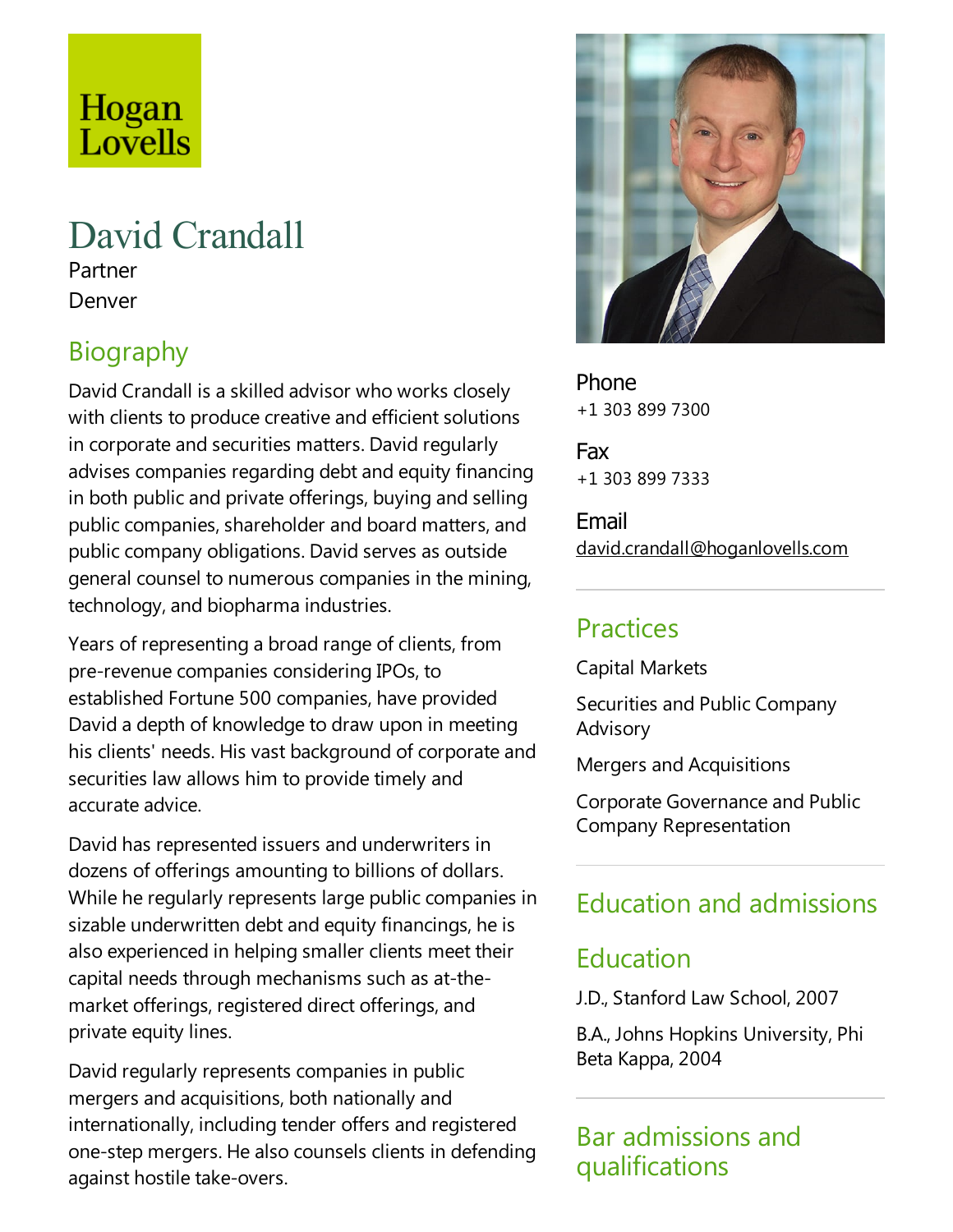# Hogan Lovells

# David Crandall

Partner Denver

# **Biography**

David Crandall is askilled advisor who works closely with clients to produce creative and efficient solutions in corporate and securities matters. David regularly advises companies regarding debt and equity financing in both public and private offerings, buying and selling public companies, shareholder and board matters, and public company obligations. David serves as outside general counsel to numerous companies in the mining, technology, and biopharma industries.

Years of representing a broad range of clients, from pre-revenue companies considering IPOs, to established Fortune 500 companies, have provided David a depth of knowledge to draw upon in meeting his clients' needs. His vast background of corporate and securities law allows him to provide timely and accurate advice.

David has represented issuers and underwriters in dozens of offerings amounting to billions of dollars. While he regularly represents large public companies in sizable underwritten debt and equity financings, he is also experienced in helping smaller clients meet their capital needs through mechanisms such as at-themarket offerings, registered direct offerings, and private equity lines.

David regularly represents companies in public mergers and acquisitions, both nationally and internationally, including tender offers and registered one-step mergers. He also counsels clients in defending against hostile take-overs.



Phone +1 303 899 7300

Fax +1 303 899 7333

Email david.crandall@hoganlovells.com

## Practices

Capital Markets

Securities and Public Company Advisory

Mergers and Acquisitions

Corporate Governanceand Public Company Representation

# Education and admissions

### Education

J.D., Stanford Law School, 2007

B.A., Johns Hopkins University, Phi Beta Kappa, 2004

Bar admissions and qualifications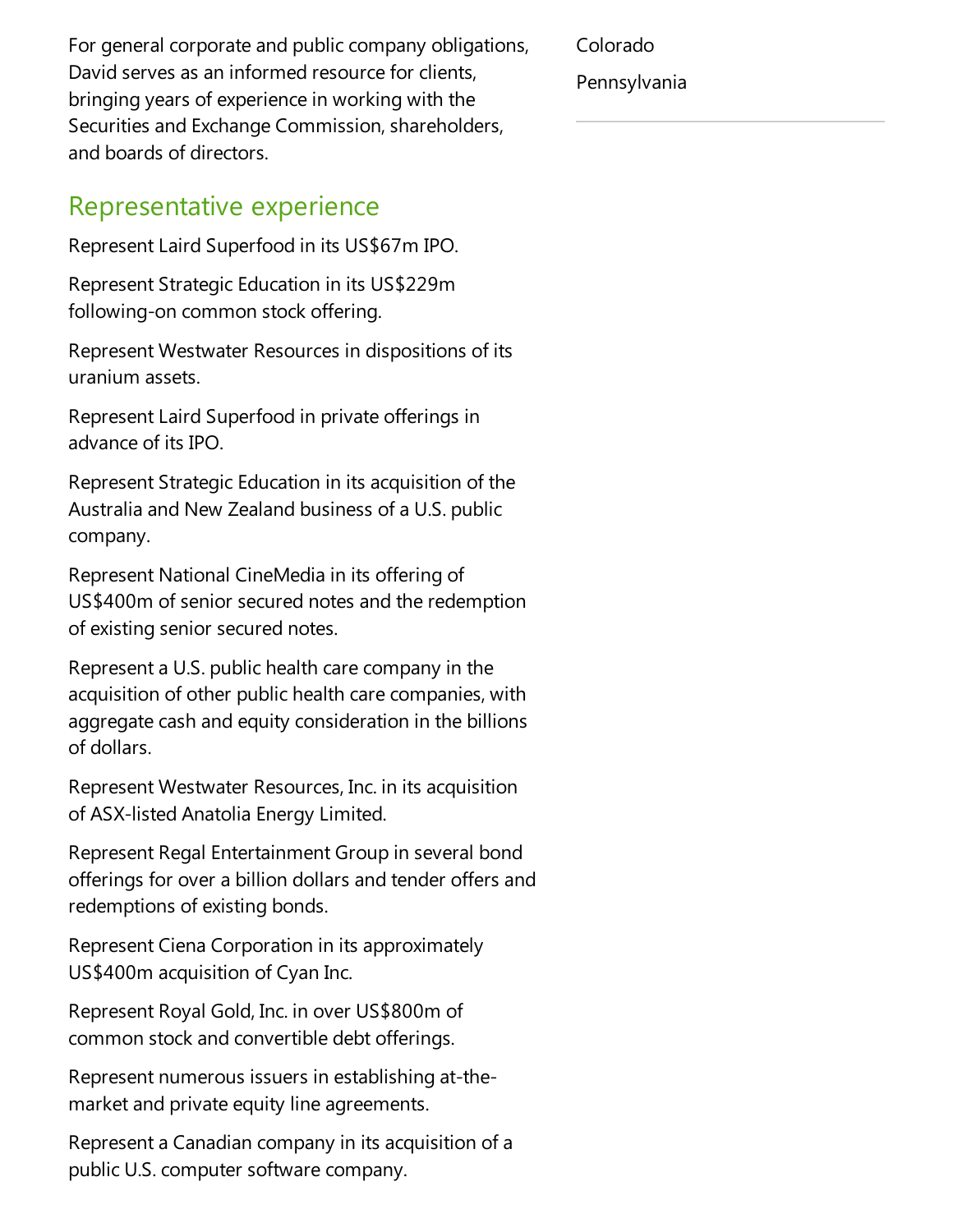For general corporate and public company obligations, David serves as an informed resource for clients, bringing years of experience in working with the Securities and Exchange Commission, shareholders, and boards of directors.

#### Representative experience

Represent Laird Superfood in its US\$67m IPO.

Represent Strategic Education in its US\$229m following-on common stock offering.

Represent Westwater Resources in dispositions of its uranium assets.

Represent Laird Superfood in private offerings in advance of its IPO.

Represent Strategic Education in its acquisition of the Australia and New Zealand business of a U.S. public company.

Represent National CineMedia in its offering of US\$400m of senior secured notes and the redemption of existing senior secured notes.

Represent a U.S. public health care company in the acquisition of other public health care companies, with aggregate cash and equity consideration in the billions of dollars.

Represent Westwater Resources, Inc. in its acquisition of ASX-listed Anatolia Energy Limited.

Represent Regal Entertainment Group in several bond offerings for over a billion dollars and tender offers and redemptions of existing bonds.

Represent Ciena Corporation in its approximately US\$400m acquisition of Cyan Inc.

Represent Royal Gold, Inc. in over US\$800m of common stock and convertible debt offerings.

Represent numerous issuers in establishing at-themarket and private equity line agreements.

Represent a Canadian company in its acquisition of a public U.S. computer software company.

Colorado

Pennsylvania